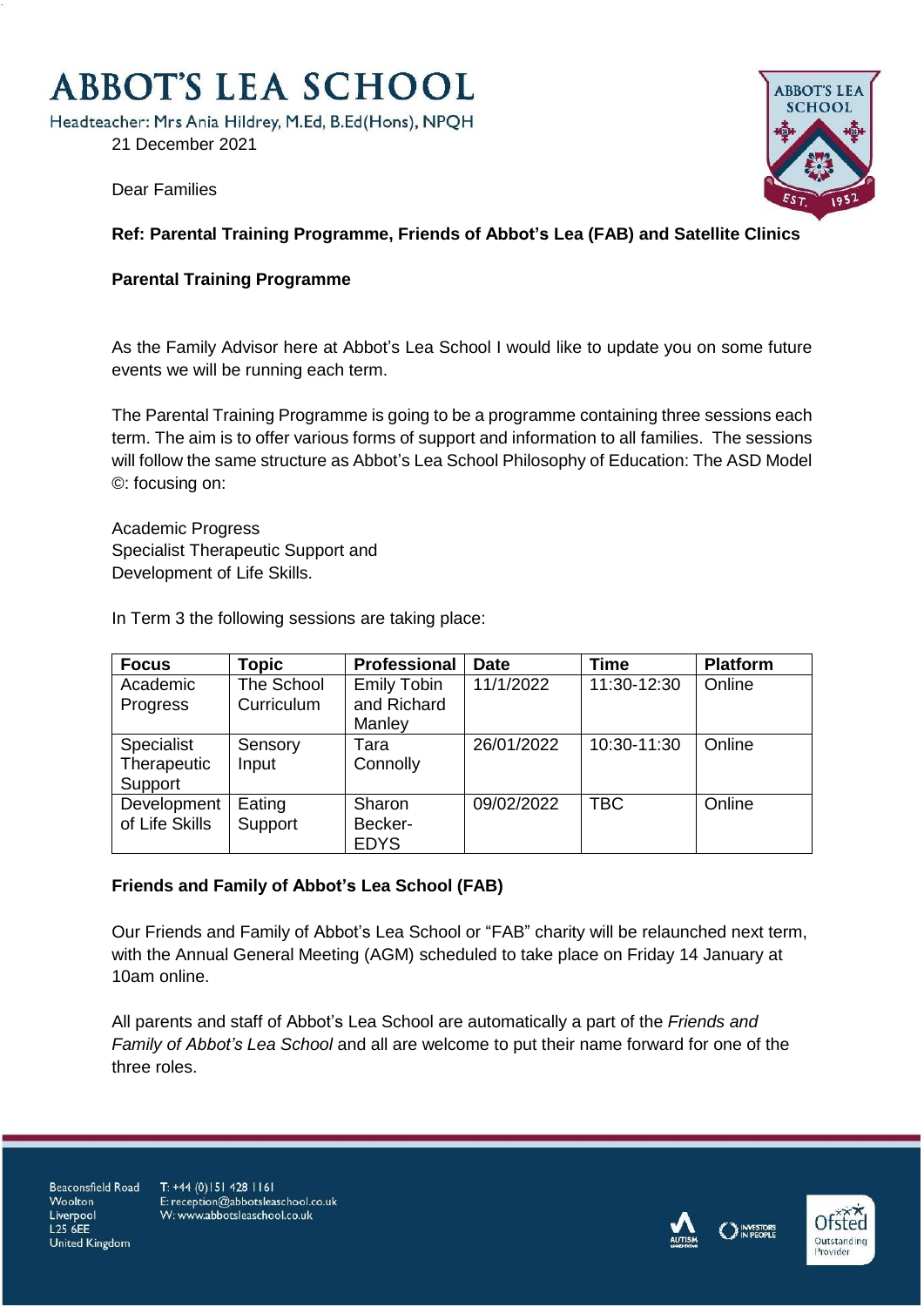# **ABBOT'S LEA SCHOOL**

Headteacher: Mrs Ania Hildrey, M.Ed, B.Ed(Hons), NPQH

21 December 2021



Dear Families

## **Ref: Parental Training Programme, Friends of Abbot's Lea (FAB) and Satellite Clinics**

### **Parental Training Programme**

As the Family Advisor here at Abbot's Lea School I would like to update you on some future events we will be running each term.

The Parental Training Programme is going to be a programme containing three sessions each term. The aim is to offer various forms of support and information to all families. The sessions will follow the same structure as Abbot's Lea School Philosophy of Education: The ASD Model ©: focusing on:

Academic Progress Specialist Therapeutic Support and Development of Life Skills.

In Term 3 the following sessions are taking place:

| <b>Focus</b>   | <b>Topic</b> | <b>Professional</b> | <b>Date</b> | <b>Time</b> | <b>Platform</b> |
|----------------|--------------|---------------------|-------------|-------------|-----------------|
| Academic       | The School   | <b>Emily Tobin</b>  | 11/1/2022   | 11:30-12:30 | Online          |
| Progress       | Curriculum   | and Richard         |             |             |                 |
|                |              | Manley              |             |             |                 |
| Specialist     | Sensory      | Tara                | 26/01/2022  | 10:30-11:30 | Online          |
| Therapeutic    | Input        | Connolly            |             |             |                 |
| Support        |              |                     |             |             |                 |
| Development    | Eating       | Sharon              | 09/02/2022  | <b>TBC</b>  | Online          |
| of Life Skills | Support      | Becker-             |             |             |                 |
|                |              | <b>EDYS</b>         |             |             |                 |

#### **Friends and Family of Abbot's Lea School (FAB)**

Our Friends and Family of Abbot's Lea School or "FAB" charity will be relaunched next term, with the Annual General Meeting (AGM) scheduled to take place on Friday 14 January at 10am online.

All parents and staff of Abbot's Lea School are automatically a part of the *Friends and Family of Abbot's Lea School* and all are welcome to put their name forward for one of the three roles.

Beaconsfield Road Woolton Liverpool L25 6EE **United Kingdom** 

T: +44 (0) 151 428 1161 E: reception@abbotsleaschool.co.uk W: www.abbotsleaschool.co.uk